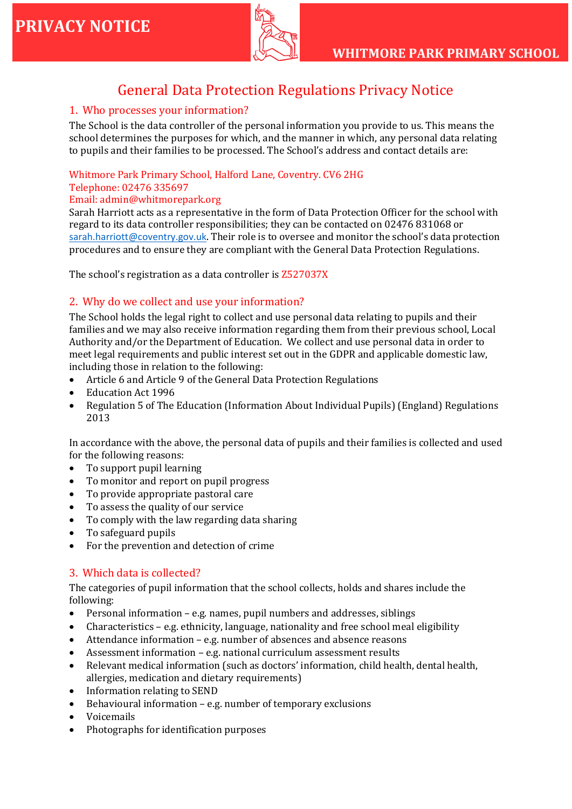

# General Data Protection Regulations Privacy Notice

### 1. Who processes your information?

The School is the data controller of the personal information you provide to us. This means the school determines the purposes for which, and the manner in which, any personal data relating to pupils and their families to be processed. The School's address and contact details are:

### Whitmore Park Primary School, Halford Lane, Coventry. CV6 2HG

#### Telephone: 02476 335697

#### Email: admin@whitmorepark.org

Sarah Harriott acts as a representative in the form of Data Protection Officer for the school with regard to its data controller responsibilities; they can be contacted on 02476 831068 or [sarah.harriott@coventry.gov.uk](mailto:sarah.harriott@coventry.gov.uk). Their role is to oversee and monitor the school's data protection procedures and to ensure they are compliant with the General Data Protection Regulations.

The school's registration as a data controller is Z527037X

### 2. Why do we collect and use your information?

The School holds the legal right to collect and use personal data relating to pupils and their families and we may also receive information regarding them from their previous school, Local Authority and/or the Department of Education. We collect and use personal data in order to meet legal requirements and public interest set out in the GDPR and applicable domestic law, including those in relation to the following:

- Article 6 and Article 9 of the General Data Protection Regulations
- Education Act 1996
- Regulation 5 of The Education (Information About Individual Pupils) (England) Regulations 2013

In accordance with the above, the personal data of pupils and their families is collected and used for the following reasons:

- To support pupil learning
- To monitor and report on pupil progress
- To provide appropriate pastoral care
- To assess the quality of our service
- To comply with the law regarding data sharing
- To safeguard pupils
- For the prevention and detection of crime

### 3. Which data is collected?

The categories of pupil information that the school collects, holds and shares include the following:

- Personal information e.g. names, pupil numbers and addresses, siblings
- Characteristics e.g. ethnicity, language, nationality and free school meal eligibility
- Attendance information e.g. number of absences and absence reasons
- Assessment information e.g. national curriculum assessment results
- Relevant medical information (such as doctors' information, child health, dental health, allergies, medication and dietary requirements)
- Information relating to SEND
- Behavioural information e.g. number of temporary exclusions
- Voicemails
- Photographs for identification purposes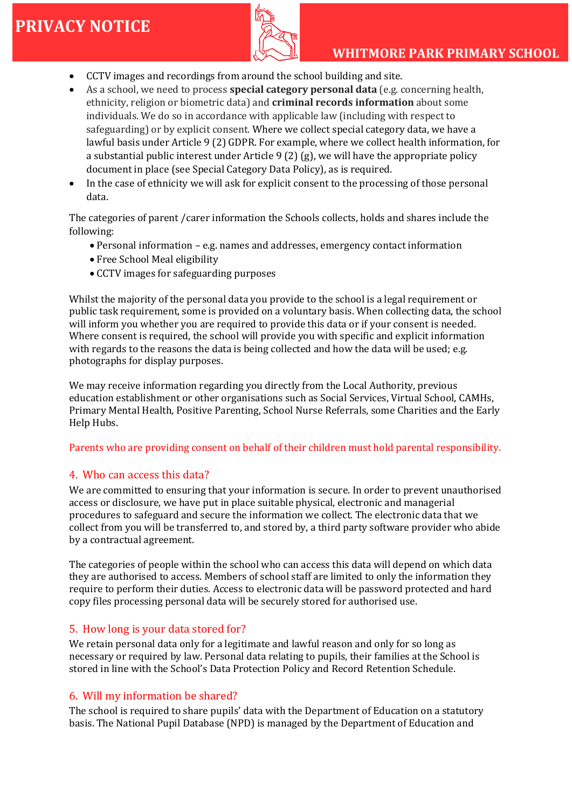

## **WHITMORE PARK PRIMARY SCHOOL**

- CCTV images and recordings from around the school building and site.
- As a school, we need to process **special category personal data** (e.g. concerning health, ethnicity, religion or biometric data) and **criminal records information** about some individuals. We do so in accordance with applicable law (including with respect to safeguarding) or by explicit consent. Where we collect special category data, we have a lawful basis under Article 9 (2) GDPR. For example, where we collect health information, for a substantial public interest under Article 9 (2) (g), we will have the appropriate policy document in place (see Special Category Data Policy), as is required.
- In the case of ethnicity we will ask for explicit consent to the processing of those personal data.

The categories of parent /carer information the Schools collects, holds and shares include the following:

- Personal information e.g. names and addresses, emergency contact information
- Free School Meal eligibility
- CCTV images for safeguarding purposes

Whilst the majority of the personal data you provide to the school is a legal requirement or public task requirement, some is provided on a voluntary basis. When collecting data, the school will inform you whether you are required to provide this data or if your consent is needed. Where consent is required, the school will provide you with specific and explicit information with regards to the reasons the data is being collected and how the data will be used; e.g. photographs for display purposes.

We may receive information regarding you directly from the Local Authority, previous education establishment or other organisations such as Social Services, Virtual School, CAMHs, Primary Mental Health, Positive Parenting, School Nurse Referrals, some Charities and the Early Help Hubs.

#### Parents who are providing consent on behalf of their children must hold parental responsibility.

### 4. Who can access this data?

We are committed to ensuring that your information is secure. In order to prevent unauthorised access or disclosure, we have put in place suitable physical, electronic and managerial procedures to safeguard and secure the information we collect. The electronic data that we collect from you will be transferred to, and stored by, a third party software provider who abide by a contractual agreement.

The categories of people within the school who can access this data will depend on which data they are authorised to access. Members of school staff are limited to only the information they require to perform their duties. Access to electronic data will be password protected and hard copy files processing personal data will be securely stored for authorised use.

### 5. How long is your data stored for?

We retain personal data only for a legitimate and lawful reason and only for so long as necessary or required by law. Personal data relating to pupils, their families at the School is stored in line with the School's Data Protection Policy and Record Retention Schedule.

### 6. Will my information be shared?

The school is required to share pupils' data with the Department of Education on a statutory basis. The National Pupil Database (NPD) is managed by the Department of Education and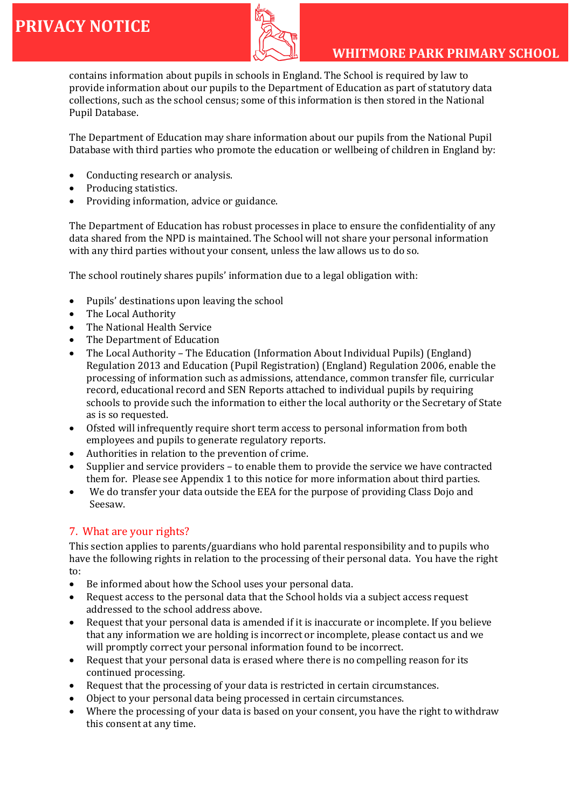

contains information about pupils in schools in England. The School is required by law to provide information about our pupils to the Department of Education as part of statutory data collections, such as the school census; some of this information is then stored in the National Pupil Database.

The Department of Education may share information about our pupils from the National Pupil Database with third parties who promote the education or wellbeing of children in England by:

- Conducting research or analysis.
- Producing statistics.
- Providing information, advice or guidance.

The Department of Education has robust processes in place to ensure the confidentiality of any data shared from the NPD is maintained. The School will not share your personal information with any third parties without your consent, unless the law allows us to do so.

The school routinely shares pupils' information due to a legal obligation with:

- Pupils' destinations upon leaving the school
- The Local Authority
- The National Health Service
- The Department of Education
- The Local Authority The Education (Information About Individual Pupils) (England) Regulation 2013 and Education (Pupil Registration) (England) Regulation 2006, enable the processing of information such as admissions, attendance, common transfer file, curricular record, educational record and SEN Reports attached to individual pupils by requiring schools to provide such the information to either the local authority or the Secretary of State as is so requested.
- Ofsted will infrequently require short term access to personal information from both employees and pupils to generate regulatory reports.
- Authorities in relation to the prevention of crime.
- Supplier and service providers to enable them to provide the service we have contracted them for. Please see Appendix 1 to this notice for more information about third parties.
- We do transfer your data outside the EEA for the purpose of providing Class Dojo and Seesaw.

### 7. What are your rights?

This section applies to parents/guardians who hold parental responsibility and to pupils who have the following rights in relation to the processing of their personal data. You have the right to:

- Be informed about how the School uses your personal data.
- Request access to the personal data that the School holds via a subject access request addressed to the school address above.
- Request that your personal data is amended if it is inaccurate or incomplete. If you believe that any information we are holding is incorrect or incomplete, please contact us and we will promptly correct your personal information found to be incorrect.
- Request that your personal data is erased where there is no compelling reason for its continued processing.
- Request that the processing of your data is restricted in certain circumstances.
- Object to your personal data being processed in certain circumstances.
- Where the processing of your data is based on your consent, you have the right to withdraw this consent at any time.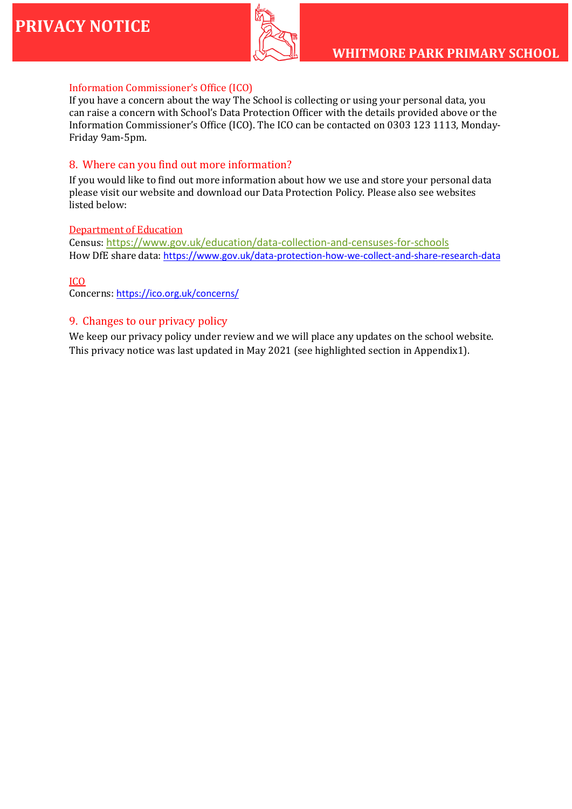

### Information Commissioner's Office (ICO)

If you have a concern about the way The School is collecting or using your personal data, you can raise a concern with School's Data Protection Officer with the details provided above or the Information Commissioner's Office (ICO). The ICO can be contacted on 0303 123 1113, Monday-Friday 9am-5pm.

#### 8. Where can you find out more information?

If you would like to find out more information about how we use and store your personal data please visit our website and download our Data Protection Policy. Please also see websites listed below:

#### Department of Education

Census: <https://www.gov.uk/education/data-collection-and-censuses-for-schools> How DfE share data: <https://www.gov.uk/data-protection-how-we-collect-and-share-research-data>

#### ICO

Concerns: <https://ico.org.uk/concerns/>

#### 9. Changes to our privacy policy

We keep our privacy policy under review and we will place any updates on the school website. This privacy notice was last updated in May 2021 (see highlighted section in Appendix1).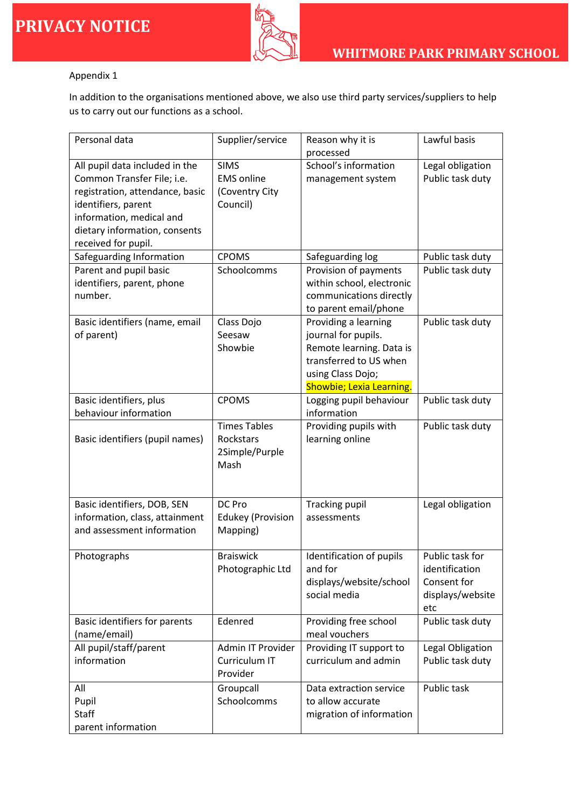

### Appendix 1

In addition to the organisations mentioned above, we also use third party services/suppliers to help us to carry out our functions as a school.

| Personal data                                                                                                                                                                                              | Supplier/service                                               | Reason why it is<br>processed                                                                                                                      | Lawful basis                                                                |
|------------------------------------------------------------------------------------------------------------------------------------------------------------------------------------------------------------|----------------------------------------------------------------|----------------------------------------------------------------------------------------------------------------------------------------------------|-----------------------------------------------------------------------------|
| All pupil data included in the<br>Common Transfer File; i.e.<br>registration, attendance, basic<br>identifiers, parent<br>information, medical and<br>dietary information, consents<br>received for pupil. | <b>SIMS</b><br><b>EMS</b> online<br>(Coventry City<br>Council) | School's information<br>management system                                                                                                          | Legal obligation<br>Public task duty                                        |
| Safeguarding Information                                                                                                                                                                                   | <b>CPOMS</b>                                                   | Safeguarding log                                                                                                                                   | Public task duty                                                            |
| Parent and pupil basic<br>identifiers, parent, phone<br>number.                                                                                                                                            | Schoolcomms                                                    | Provision of payments<br>within school, electronic<br>communications directly<br>to parent email/phone                                             | Public task duty                                                            |
| Basic identifiers (name, email<br>of parent)                                                                                                                                                               | Class Dojo<br>Seesaw<br>Showbie                                | Providing a learning<br>journal for pupils.<br>Remote learning. Data is<br>transferred to US when<br>using Class Dojo;<br>Showbie; Lexia Learning. | Public task duty                                                            |
| Basic identifiers, plus                                                                                                                                                                                    | <b>CPOMS</b>                                                   | Logging pupil behaviour                                                                                                                            | Public task duty                                                            |
| behaviour information<br>Basic identifiers (pupil names)                                                                                                                                                   | <b>Times Tables</b><br>Rockstars<br>2Simple/Purple<br>Mash     | information<br>Providing pupils with<br>learning online                                                                                            | Public task duty                                                            |
| Basic identifiers, DOB, SEN<br>information, class, attainment<br>and assessment information                                                                                                                | DC Pro<br><b>Edukey (Provision</b><br>Mapping)                 | <b>Tracking pupil</b><br>assessments                                                                                                               | Legal obligation                                                            |
| Photographs                                                                                                                                                                                                | <b>Braiswick</b><br>Photographic Ltd                           | Identification of pupils<br>and for<br>displays/website/school<br>social media                                                                     | Public task for<br>identification<br>Consent for<br>displays/website<br>etc |
| Basic identifiers for parents<br>(name/email)                                                                                                                                                              | Edenred                                                        | Providing free school<br>meal vouchers                                                                                                             | Public task duty                                                            |
| All pupil/staff/parent<br>information                                                                                                                                                                      | Admin IT Provider<br>Curriculum IT<br>Provider                 | Providing IT support to<br>curriculum and admin                                                                                                    | Legal Obligation<br>Public task duty                                        |
| All<br>Pupil<br><b>Staff</b><br>parent information                                                                                                                                                         | Groupcall<br>Schoolcomms                                       | Data extraction service<br>to allow accurate<br>migration of information                                                                           | Public task                                                                 |